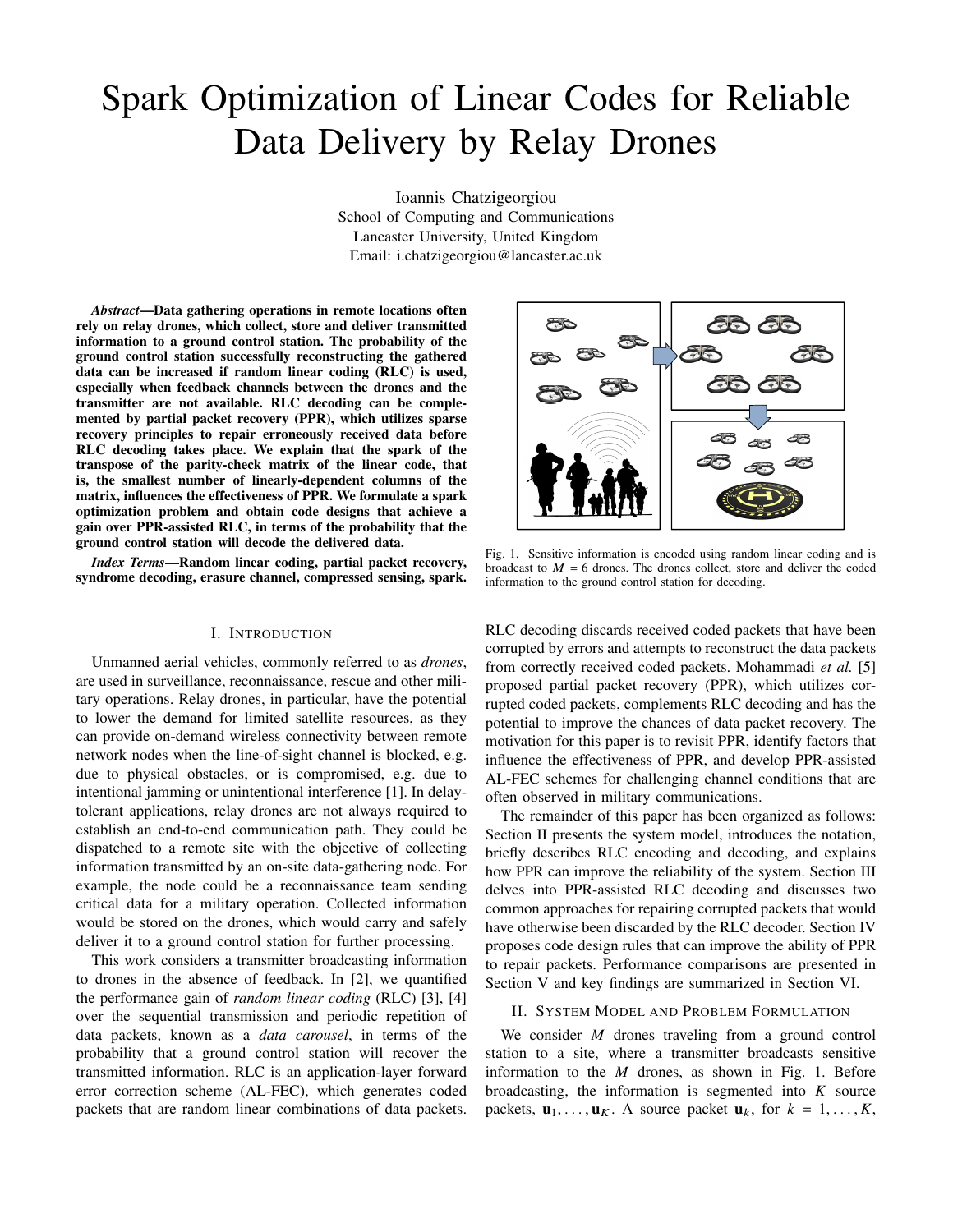# Spark Optimization of Linear Codes for Reliable Data Delivery by Relay Drones

Ioannis Chatzigeorgiou School of Computing and Communications Lancaster University, United Kingdom Email: i.chatzigeorgiou@lancaster.ac.uk

*Abstract*—Data gathering operations in remote locations often rely on relay drones, which collect, store and deliver transmitted information to a ground control station. The probability of the ground control station successfully reconstructing the gathered data can be increased if random linear coding (RLC) is used, especially when feedback channels between the drones and the transmitter are not available. RLC decoding can be complemented by partial packet recovery (PPR), which utilizes sparse recovery principles to repair erroneously received data before RLC decoding takes place. We explain that the spark of the transpose of the parity-check matrix of the linear code, that is, the smallest number of linearly-dependent columns of the matrix, influences the effectiveness of PPR. We formulate a spark optimization problem and obtain code designs that achieve a gain over PPR-assisted RLC, in terms of the probability that the ground control station will decode the delivered data.

*Index Terms*—Random linear coding, partial packet recovery, syndrome decoding, erasure channel, compressed sensing, spark.

### I. INTRODUCTION

Unmanned aerial vehicles, commonly referred to as *drones*, are used in surveillance, reconnaissance, rescue and other military operations. Relay drones, in particular, have the potential to lower the demand for limited satellite resources, as they can provide on-demand wireless connectivity between remote network nodes when the line-of-sight channel is blocked, e.g. due to physical obstacles, or is compromised, e.g. due to intentional jamming or unintentional interference [1]. In delaytolerant applications, relay drones are not always required to establish an end-to-end communication path. They could be dispatched to a remote site with the objective of collecting information transmitted by an on-site data-gathering node. For example, the node could be a reconnaissance team sending critical data for a military operation. Collected information would be stored on the drones, which would carry and safely deliver it to a ground control station for further processing.

This work considers a transmitter broadcasting information to drones in the absence of feedback. In [2], we quantified the performance gain of *random linear coding* (RLC) [3], [4] over the sequential transmission and periodic repetition of data packets, known as a *data carousel*, in terms of the probability that a ground control station will recover the transmitted information. RLC is an application-layer forward error correction scheme (AL-FEC), which generates coded packets that are random linear combinations of data packets.



Fig. 1. Sensitive information is encoded using random linear coding and is broadcast to  $M = 6$  drones. The drones collect, store and deliver the coded information to the ground control station for decoding.

RLC decoding discards received coded packets that have been corrupted by errors and attempts to reconstruct the data packets from correctly received coded packets. Mohammadi *et al.* [5] proposed partial packet recovery (PPR), which utilizes corrupted coded packets, complements RLC decoding and has the potential to improve the chances of data packet recovery. The motivation for this paper is to revisit PPR, identify factors that influence the effectiveness of PPR, and develop PPR-assisted AL-FEC schemes for challenging channel conditions that are often observed in military communications.

The remainder of this paper has been organized as follows: Section II presents the system model, introduces the notation, briefly describes RLC encoding and decoding, and explains how PPR can improve the reliability of the system. Section III delves into PPR-assisted RLC decoding and discusses two common approaches for repairing corrupted packets that would have otherwise been discarded by the RLC decoder. Section IV proposes code design rules that can improve the ability of PPR to repair packets. Performance comparisons are presented in Section V and key findings are summarized in Section VI.

# II. SYSTEM MODEL AND PROBLEM FORMULATION

We consider  $M$  drones traveling from a ground control station to a site, where a transmitter broadcasts sensitive information to the  $M$  drones, as shown in Fig. 1. Before broadcasting, the information is segmented into  $K$  source packets,  $\mathbf{u}_1, \ldots, \mathbf{u}_K$ . A source packet  $\mathbf{u}_k$ , for  $k = 1, \ldots, K$ ,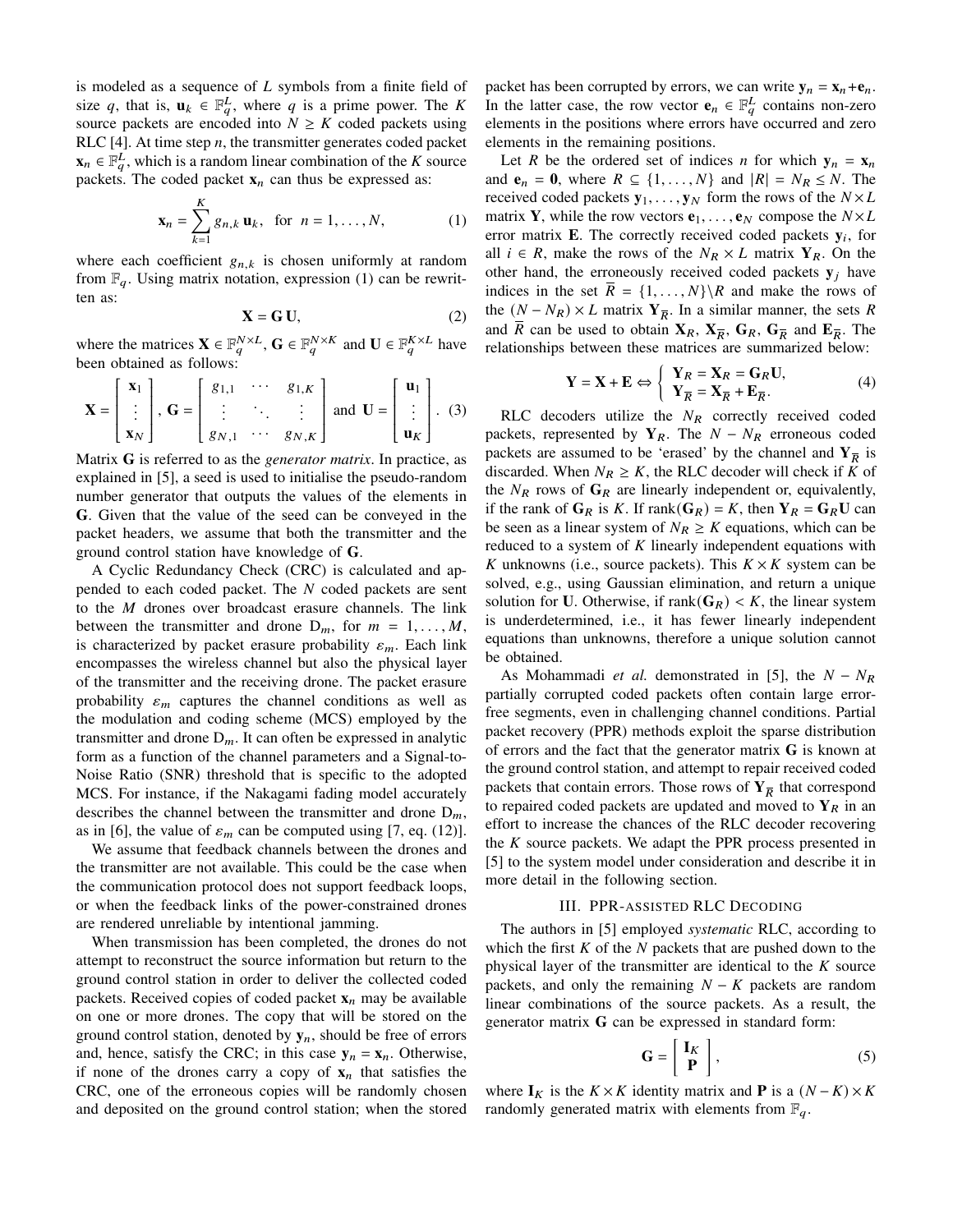is modeled as a sequence of  $L$  symbols from a finite field of size q, that is,  $\mathbf{u}_k \in \mathbb{F}_q^L$ , where q is a prime power. The K source packets are encoded into  $N \geq K$  coded packets using RLC [4]. At time step  $n$ , the transmitter generates coded packet  $\mathbf{x}_n \in \mathbb{F}_q^L$ , which is a random linear combination of the K source packets. The coded packet  $x_n$  can thus be expressed as:

$$
\mathbf{x}_n = \sum_{k=1}^K g_{n,k} \, \mathbf{u}_k, \text{ for } n = 1, \dots, N, \tag{1}
$$

where each coefficient  $g_{n,k}$  is chosen uniformly at random from  $\mathbb{F}_q$ . Using matrix notation, expression (1) can be rewritten as:

$$
\mathbf{X} = \mathbf{G} \, \mathbf{U},\tag{2}
$$

where the matrices  $\mathbf{X} \in \mathbb{F}_q^{N \times L}$ ,  $\mathbf{G} \in \mathbb{F}_q^{N \times K}$  and  $\mathbf{U} \in \mathbb{F}_q^{K \times L}$  have been obtained as follows:

$$
\mathbf{X} = \begin{bmatrix} \mathbf{x}_1 \\ \vdots \\ \mathbf{x}_N \end{bmatrix}, \mathbf{G} = \begin{bmatrix} g_{1,1} & \cdots & g_{1,K} \\ \vdots & \ddots & \vdots \\ g_{N,1} & \cdots & g_{N,K} \end{bmatrix} \text{ and } \mathbf{U} = \begin{bmatrix} \mathbf{u}_1 \\ \vdots \\ \mathbf{u}_K \end{bmatrix}. \tag{3}
$$

 Matrix **G** is referred to as the *generator matrix*. In practice, as explained in [5], a seed is used to initialise the pseudo-random number generator that outputs the values of the elements in **G**. Given that the value of the seed can be conveyed in the packet headers, we assume that both the transmitter and the ground control station have knowledge of **G**.

A Cyclic Redundancy Check (CRC) is calculated and appended to each coded packet. The  $N$  coded packets are sent to the  $M$  drones over broadcast erasure channels. The link between the transmitter and drone  $D_m$ , for  $m = 1, \ldots, M$ , is characterized by packet erasure probability  $\varepsilon_m$ . Each link encompasses the wireless channel but also the physical layer of the transmitter and the receiving drone. The packet erasure probability  $\varepsilon_m$  captures the channel conditions as well as the modulation and coding scheme (MCS) employed by the transmitter and drone  $D_m$ . It can often be expressed in analytic form as a function of the channel parameters and a Signal-to-Noise Ratio (SNR) threshold that is specific to the adopted MCS. For instance, if the Nakagami fading model accurately describes the channel between the transmitter and drone  $D_m$ , as in [6], the value of  $\varepsilon_m$  can be computed using [7, eq. (12)].

We assume that feedback channels between the drones and the transmitter are not available. This could be the case when the communication protocol does not support feedback loops, or when the feedback links of the power-constrained drones are rendered unreliable by intentional jamming.

When transmission has been completed, the drones do not attempt to reconstruct the source information but return to the ground control station in order to deliver the collected coded packets. Received copies of coded packet  $x_n$  may be available on one or more drones. The copy that will be stored on the ground control station, denoted by  $y_n$ , should be free of errors and, hence, satisfy the CRC; in this case  $y_n = x_n$ . Otherwise, if none of the drones carry a copy of  $x_n$  that satisfies the CRC, one of the erroneous copies will be randomly chosen and deposited on the ground control station; when the stored packet has been corrupted by errors, we can write  $y_n = x_n + e_n$ . In the latter case, the row vector  $\mathbf{e}_n \in \mathbb{F}_q^L$  contains non-zero elements in the positions where errors have occurred and zero elements in the remaining positions.

Let *R* be the ordered set of indices *n* for which  $y_n = x_n$ and  $e_n = 0$ , where  $R \subseteq \{1, ..., N\}$  and  $|R| = N_R \le N$ . The received coded packets  $y_1, \ldots, y_N$  form the rows of the  $N \times L$ matrix **Y**, while the row vectors  $e_1, \ldots, e_N$  compose the  $N \times L$ error matrix  $\mathbf{E}$ . The correctly received coded packets  $\mathbf{y}_i$ , for all  $i \in R$ , make the rows of the  $N_R \times L$  matrix  $Y_R$ . On the other hand, the erroneously received coded packets  $y_j$  have indices in the set  $\overline{R} = \{1, ..., N\} \backslash R$  and make the rows of the  $(N - N_R) \times L$  matrix  $\mathbf{Y}_{\overline{R}}$ . In a similar manner, the sets R and  $\overline{R}$  can be used to obtain  $X_R$ ,  $X_{\overline{R}}$ ,  $G_R$ ,  $G_{\overline{R}}$  and  $E_{\overline{R}}$ . The relationships between these matrices are summarized below:

$$
\mathbf{Y} = \mathbf{X} + \mathbf{E} \Leftrightarrow \begin{cases} \mathbf{Y}_R = \mathbf{X}_R = \mathbf{G}_R \mathbf{U}, \\ \mathbf{Y}_{\overline{R}} = \mathbf{X}_{\overline{R}} + \mathbf{E}_{\overline{R}}. \end{cases} (4)
$$

RLC decoders utilize the  $N_R$  correctly received coded packets, represented by  $Y_R$ . The  $N - N_R$  erroneous coded packets are assumed to be 'erased' by the channel and  $Y_{\overline{R}}$  is discarded. When  $N_R \geq K$ , the RLC decoder will check if K of the  $N_R$  rows of  $G_R$  are linearly independent or, equivalently, if the rank of  $G_R$  is K. If rank $(G_R) = K$ , then  $Y_R = G_R U$  can be seen as a linear system of  $N_R \ge K$  equations, which can be reduced to a system of  $K$  linearly independent equations with K unknowns (i.e., source packets). This  $K \times K$  system can be solved, e.g., using Gaussian elimination, and return a unique solution for **U**. Otherwise, if  $\text{rank}(\mathbf{G}_R) < K$ , the linear system is underdetermined, i.e., it has fewer linearly independent equations than unknowns, therefore a unique solution cannot be obtained.

As Mohammadi *et al.* demonstrated in [5], the  $N - N_R$ partially corrupted coded packets often contain large errorfree segments, even in challenging channel conditions. Partial packet recovery (PPR) methods exploit the sparse distribution of errors and the fact that the generator matrix **G** is known at the ground control station, and attempt to repair received coded packets that contain errors. Those rows of  $Y_{\overline{R}}$  that correspond to repaired coded packets are updated and moved to  $Y_R$  in an effort to increase the chances of the RLC decoder recovering the  $K$  source packets. We adapt the PPR process presented in [5] to the system model under consideration and describe it in more detail in the following section.

### III. PPR-ASSISTED RLC DECODING

The authors in [5] employed *systematic* RLC, according to which the first  $K$  of the  $N$  packets that are pushed down to the physical layer of the transmitter are identical to the  $K$  source packets, and only the remaining  $N - K$  packets are random linear combinations of the source packets. As a result, the generator matrix **G** can be expressed in standard form:

$$
\mathbf{G} = \left[ \begin{array}{c} \mathbf{I}_K \\ \mathbf{P} \end{array} \right],\tag{5}
$$

where  $I_K$  is the  $K \times K$  identity matrix and **P** is a  $(N - K) \times K$ randomly generated matrix with elements from  $\mathbb{F}_q$ .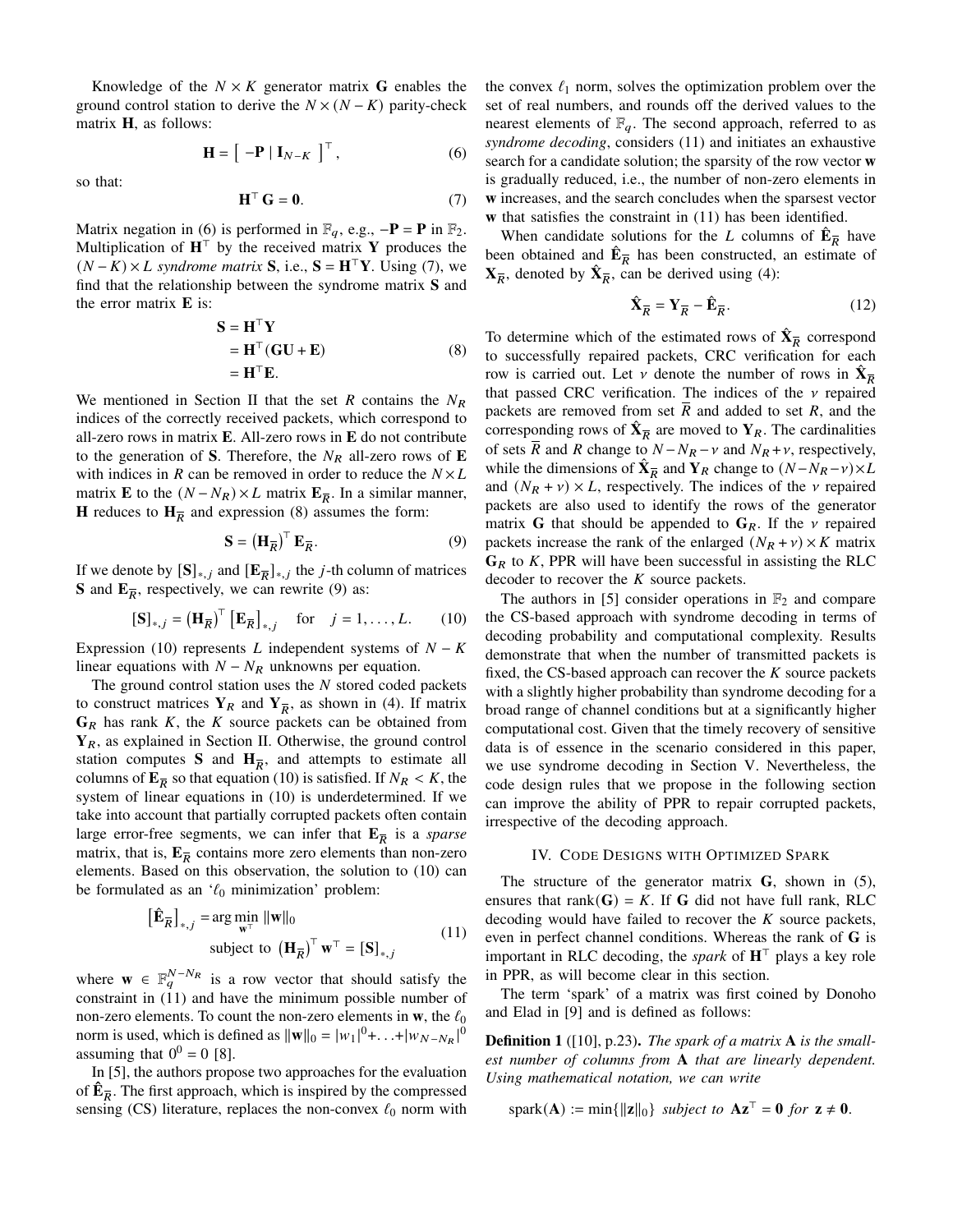Knowledge of the  $N \times K$  generator matrix **G** enables the ground control station to derive the  $N \times (N - K)$  parity-check matrix **H**, as follows:

$$
\mathbf{H} = \left[ \begin{array}{c} -\mathbf{P} \mid \mathbf{I}_{N-K} \end{array} \right]^{\top},\tag{6}
$$

so that:

$$
\mathbf{H}^{\top} \mathbf{G} = \mathbf{0}.\tag{7}
$$

Matrix negation in (6) is performed in  $\mathbb{F}_q$ , e.g.,  $-\mathbf{P} = \mathbf{P}$  in  $\mathbb{F}_2$ . Multiplication of  $H^{\top}$  by the received matrix Y produces the  $(N - K) \times L$  syndrome matrix **S**, i.e.,  $S = H<sup>T</sup>Y$ . Using (7), we find that the relationship between the syndrome matrix **S** and the error matrix **E** is:

$$
S = HTY
$$
  
= H<sup>T</sup>(GU + E)  
= H<sup>T</sup>E. (8)

We mentioned in Section II that the set  $R$  contains the  $N_R$ indices of the correctly received packets, which correspond to all-zero rows in matrix **E**. All-zero rows in **E** do not contribute to the generation of **S**. Therefore, the  $N_R$  all-zero rows of **E** with indices in R can be removed in order to reduce the  $N \times L$ matrix **E** to the  $(N - N_R) \times L$  matrix  $\mathbf{E}_{\overline{R}}$ . In a similar manner, **H** reduces to  $\mathbf{H}_{\overline{R}}$  and expression (8) assumes the form:

$$
\mathbf{S} = \left(\mathbf{H}_{\overline{R}}\right)^{\top} \mathbf{E}_{\overline{R}}.
$$
 (9)

If we denote by  $[S]_{*,j}$  and  $[E_{\overline{R}}]_{*,j}$  the *j*-th column of matrices **S** and  $\mathbf{E}_{\overline{R}}$ , respectively, we can rewrite (9) as:

$$
[\mathbf{S}]_{*,j} = (\mathbf{H}_{\overline{R}})^{\top} [\mathbf{E}_{\overline{R}}]_{*,j} \quad \text{for} \quad j = 1, \dots, L. \tag{10}
$$

Expression (10) represents  $L$  independent systems of  $N - K$ linear equations with  $N - N_R$  unknowns per equation.

The ground control station uses the  $N$  stored coded packets to construct matrices  $Y_R$  and  $Y_{\overline{R}}$ , as shown in (4). If matrix  $G_R$  has rank  $K$ , the  $K$  source packets can be obtained from **Y**, as explained in Section II. Otherwise, the ground control station computes **S** and  $H_{\overline{R}}$ , and attempts to estimate all columns of  $\mathbf{E}_{\overline{R}}$  so that equation (10) is satisfied. If  $N_R < K$ , the system of linear equations in (10) is underdetermined. If we take into account that partially corrupted packets often contain large error-free segments, we can infer that  $\mathbf{E}_{\overline{R}}$  is a *sparse* matrix, that is,  $E_{\overline{R}}$  contains more zero elements than non-zero elements. Based on this observation, the solution to (10) can be formulated as an  $\mathcal{C}_0$  minimization' problem:

$$
\left[\hat{\mathbf{E}}_{\overline{R}}\right]_{*,j} = \arg\min_{\mathbf{w}^{\top}} \|\mathbf{w}\|_{0}
$$
  
subject to 
$$
\left(\mathbf{H}_{\overline{R}}\right)^{\top} \mathbf{w}^{\top} = \left[\mathbf{S}\right]_{*,j}
$$
 (11)

where  $\mathbf{w} \in \mathbb{F}_q^{N-N_R}$  is a row vector that should satisfy the constraint in (11) and have the minimum possible number of non-zero elements. To count the non-zero elements in  $w$ , the  $\ell_0$ norm is used, which is defined as  $\|\mathbf{w}\|_0 = |w_1|^0 + ... + |w_{N-N_R}|^0$ assuming that  $0^0 = 0$  [8].

In [5], the authors propose two approaches for the evaluation of  $\mathbf{\hat{E}}_{\overline{R}}$ . The first approach, which is inspired by the compressed sensing (CS) literature, replaces the non-convex  $\ell_0$  norm with the convex  $\ell_1$  norm, solves the optimization problem over the set of real numbers, and rounds off the derived values to the nearest elements of  $\mathbb{F}_q$ . The second approach, referred to as *syndrome decoding*, considers (11) and initiates an exhaustive search for a candidate solution; the sparsity of the row vector **w** is gradually reduced, i.e., the number of non-zero elements in **w** increases, and the search concludes when the sparsest vector **w** that satisfies the constraint in (11) has been identified.

When candidate solutions for the L columns of  $\hat{\mathbf{E}}_{\overline{R}}$  have been obtained and  $\hat{\mathbf{E}}_{\overline{R}}$  has been constructed, an estimate of  $\mathbf{X}_{\overline{R}}$ , denoted by  $\hat{\mathbf{X}}_{\overline{R}}$ , can be derived using (4):

$$
\hat{\mathbf{X}}_{\overline{R}} = \mathbf{Y}_{\overline{R}} - \hat{\mathbf{E}}_{\overline{R}}.\tag{12}
$$

To determine which of the estimated rows of  $\hat{\mathbf{X}}_{\overline{R}}$  correspond to successfully repaired packets, CRC verification for each row is carried out. Let  $\nu$  denote the number of rows in  $\hat{\mathbf{X}}_{\overline{R}}$ that passed CRC verification. The indices of the  $\nu$  repaired packets are removed from set  $R$  and added to set  $R$ , and the corresponding rows of  $\hat{\mathbf{X}}_{\overline{R}}$  are moved to  $\mathbf{Y}_R$ . The cardinalities of sets R and R change to  $N - N_R - \nu$  and  $N_R + \nu$ , respectively, while the dimensions of  $\hat{\mathbf{X}}_{\overline{R}}$  and  $\mathbf{Y}_R$  change to  $(N - N_R - \nu) \times L$ and  $(N_R + v) \times L$ , respectively. The indices of the v repaired packets are also used to identify the rows of the generator matrix **G** that should be appended to  $\mathbf{G}_R$ . If the v repaired packets increase the rank of the enlarged  $(N_R + v) \times K$  matrix  $G_R$  to K, PPR will have been successful in assisting the RLC decoder to recover the  $K$  source packets.

The authors in [5] consider operations in  $\mathbb{F}_2$  and compare the CS-based approach with syndrome decoding in terms of decoding probability and computational complexity. Results demonstrate that when the number of transmitted packets is fixed, the CS-based approach can recover the  $K$  source packets with a slightly higher probability than syndrome decoding for a broad range of channel conditions but at a significantly higher computational cost. Given that the timely recovery of sensitive data is of essence in the scenario considered in this paper, we use syndrome decoding in Section V. Nevertheless, the code design rules that we propose in the following section can improve the ability of PPR to repair corrupted packets, irrespective of the decoding approach.

# IV. CODE DESIGNS WITH OPTIMIZED SPARK

The structure of the generator matrix **G**, shown in (5), ensures that rank( $G$ ) = K. If G did not have full rank, RLC decoding would have failed to recover the  $K$  source packets, even in perfect channel conditions. Whereas the rank of **G** is important in RLC decoding, the *spark* of  $H^{\top}$  plays a key role in PPR, as will become clear in this section.

The term 'spark' of a matrix was first coined by Donoho and Elad in [9] and is defined as follows:

Definition 1 ([10], p.23). *The spark of a matrix* **A** *is the smallest number of columns from* **A** *that are linearly dependent. Using mathematical notation, we can write*

$$
spark(\mathbf{A}) := \min\{\|\mathbf{z}\|_0\} \text{ subject to } \mathbf{A}\mathbf{z}^{\top} = \mathbf{0} \text{ for } \mathbf{z} \neq \mathbf{0}.
$$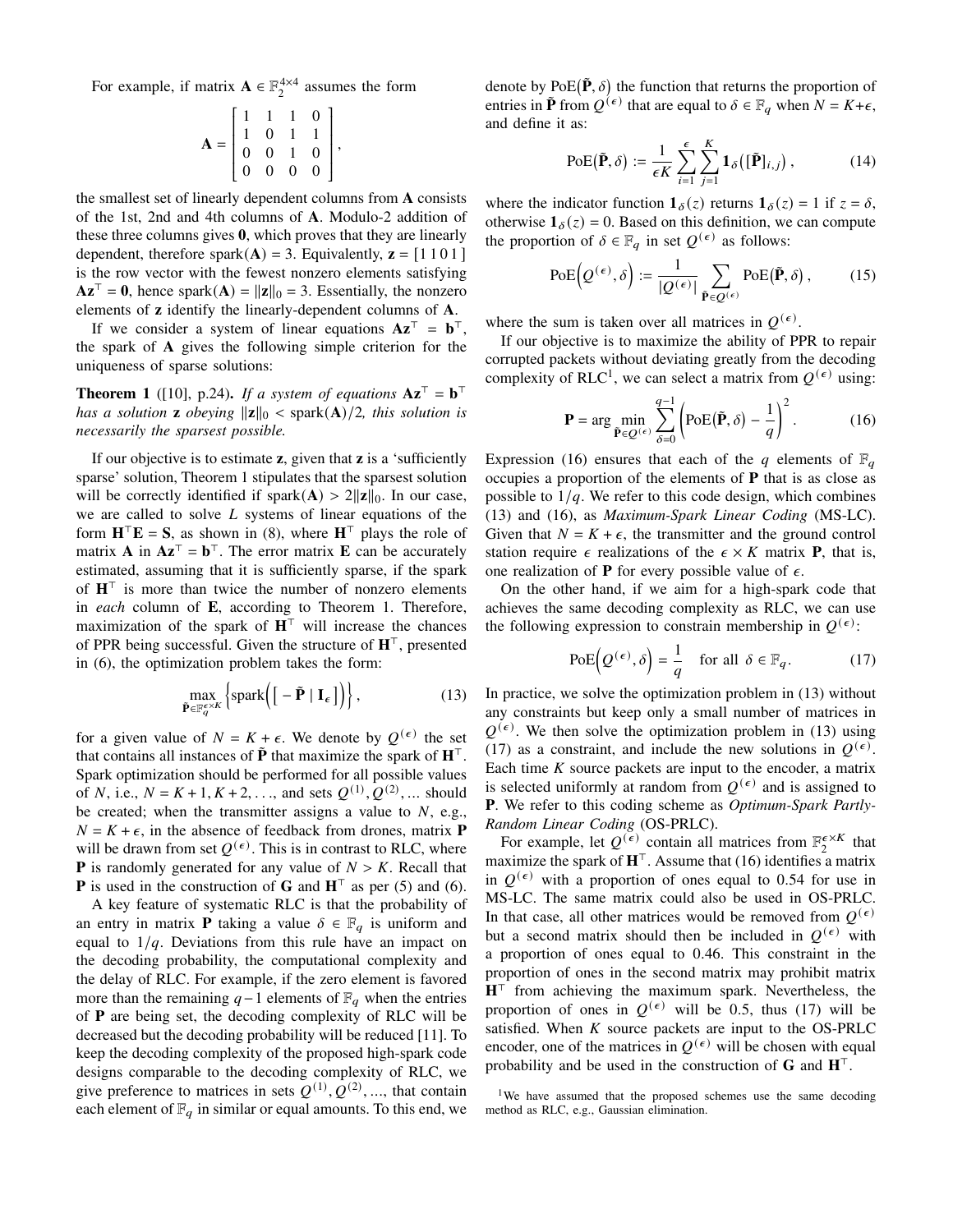For example, if matrix  $\mathbf{A} \in \mathbb{F}_2^{4 \times 4}$  assumes the form

$$
\mathbf{A} = \begin{bmatrix} 1 & 1 & 1 & 0 \\ 1 & 0 & 1 & 1 \\ 0 & 0 & 1 & 0 \\ 0 & 0 & 0 & 0 \end{bmatrix},
$$

 the smallest set of linearly dependent columns from **A** consists of the 1st, 2nd and 4th columns of **A**. Modulo-2 addition of these three columns gives **0**, which proves that they are linearly dependent, therefore spark $(A) = 3$ . Equivalently,  $z = [1 1 0 1]$ is the row vector with the fewest nonzero elements satisfying  $Az^{\top} = 0$ , hence spark $(A) = ||z||_0 = 3$ . Essentially, the nonzero elements of **z** identify the linearly-dependent columns of **A**.

If we consider a system of linear equations  $Az^T = b^T$ , the spark of **A** gives the following simple criterion for the uniqueness of sparse solutions:

**Theorem 1** ([10], p.24). If a system of equations  $Az^T = b^T$ *has a solution* **z** *obeying*  $\|\mathbf{z}\|_0 < \text{spark}(\mathbf{A})/2$ *, this solution is necessarily the sparsest possible.*

If our objective is to estimate **z**, given that **z** is a 'sufficiently sparse' solution, Theorem 1 stipulates that the sparsest solution will be correctly identified if spark $(A) > 2||z||_0$ . In our case, we are called to solve  $L$  systems of linear equations of the form  $\mathbf{H}^\top \mathbf{E} = \mathbf{S}$ , as shown in (8), where  $\mathbf{H}^\top$  plays the role of matrix **A** in  $Az^T = b^T$ . The error matrix **E** can be accurately estimated, assuming that it is sufficiently sparse, if the spark of  $H<sup>T</sup>$  is more than twice the number of nonzero elements in *each* column of **E**, according to Theorem 1. Therefore, maximization of the spark of  $H<sup>T</sup>$  will increase the chances of PPR being successful. Given the structure of  $H<sup>T</sup>$ , presented in (6), the optimization problem takes the form:

$$
\max_{\tilde{\mathbf{P}} \in \mathbb{F}_q^{\epsilon \times K}} \left\{ \text{spark} \left( \left[ -\tilde{\mathbf{P}} \mid \mathbf{I}_{\epsilon} \right] \right) \right\},\tag{13}
$$

for a given value of  $N = K + \epsilon$ . We denote by  $Q^{(\epsilon)}$  the set that contains all instances of  $\tilde{P}$  that maximize the spark of  $H<sup>T</sup>$ . Spark optimization should be performed for all possible values of N, i.e.,  $N = K + 1, K + 2, \ldots$ , and sets  $Q^{(1)}, Q^{(2)}, \ldots$  should be created; when the transmitter assigns a value to  $N$ , e.g.,  $N = K + \epsilon$ , in the absence of feedback from drones, matrix **P** will be drawn from set  $Q^{(\epsilon)}$ . This is in contrast to RLC, where **P** is randomly generated for any value of  $N > K$ . Recall that **P** is used in the construction of **G** and  $H^{\top}$  as per (5) and (6).

A key feature of systematic RLC is that the probability of an entry in matrix **P** taking a value  $\delta \in \mathbb{F}_q$  is uniform and equal to  $1/q$ . Deviations from this rule have an impact on the decoding probability, the computational complexity and the delay of RLC. For example, if the zero element is favored more than the remaining  $q-1$  elements of  $\mathbb{F}_q$  when the entries of **P** are being set, the decoding complexity of RLC will be decreased but the decoding probability will be reduced [11]. To keep the decoding complexity of the proposed high-spark code designs comparable to the decoding complexity of RLC, we give preference to matrices in sets  $Q^{(1)}, Q^{(2)}, ...$ , that contain each element of  $\mathbb{F}_q$  in similar or equal amounts. To this end, we

denote by  $PoE(\tilde{P}, \delta)$  the function that returns the proportion of entries in  $\tilde{P}$  from  $Q^{(\epsilon)}$  that are equal to  $\delta \in \mathbb{F}_q$  when  $N = K + \epsilon$ , and define it as:

$$
\text{PoE}(\tilde{\mathbf{P}}, \delta) := \frac{1}{\epsilon K} \sum_{i=1}^{\epsilon} \sum_{j=1}^{K} \mathbf{1}_{\delta}([\tilde{\mathbf{P}}]_{i,j}), \tag{14}
$$

where the indicator function  $\mathbf{1}_{\delta}(z)$  returns  $\mathbf{1}_{\delta}(z) = 1$  if  $z = \delta$ , otherwise  $\mathbf{1}_{\delta}(z) = 0$ . Based on this definition, we can compute the proportion of  $\delta \in \mathbb{F}_q$  in set  $Q^{(\epsilon)}$  as follows:

$$
PoE\left(Q^{(\epsilon)}, \delta\right) := \frac{1}{|Q^{(\epsilon)}|} \sum_{\tilde{\mathbf{P}} \in Q^{(\epsilon)}} PoE(\tilde{\mathbf{P}}, \delta), \quad (15)
$$

where the sum is taken over all matrices in  $Q^{(\epsilon)}$ .

If our objective is to maximize the ability of PPR to repair corrupted packets without deviating greatly from the decoding complexity of RLC<sup>1</sup>, we can select a matrix from  $Q^{(\epsilon)}$  using:

$$
\mathbf{P} = \arg\min_{\tilde{\mathbf{P}} \in \mathcal{Q}^{(\epsilon)}} \sum_{\delta=0}^{q-1} \left( \text{PoE}(\tilde{\mathbf{P}}, \delta) - \frac{1}{q} \right)^2.
$$
 (16)

Expression (16) ensures that each of the q elements of  $\mathbb{F}_q$ occupies a proportion of the elements of **P** that is as close as possible to  $1/q$ . We refer to this code design, which combines (13) and (16), as *Maximum-Spark Linear Coding* (MS-LC). Given that  $N = K + \epsilon$ , the transmitter and the ground control station require  $\epsilon$  realizations of the  $\epsilon \times K$  matrix **P**, that is, one realization of **P** for every possible value of  $\epsilon$ .

On the other hand, if we aim for a high-spark code that achieves the same decoding complexity as RLC, we can use the following expression to constrain membership in  $Q^{(\epsilon)}$ :

$$
\text{PoE}\Big(Q^{(\epsilon)}, \delta\Big) = \frac{1}{q} \quad \text{for all } \delta \in \mathbb{F}_q. \tag{17}
$$

In practice, we solve the optimization problem in (13) without any constraints but keep only a small number of matrices in  $Q^{(\epsilon)}$ . We then solve the optimization problem in (13) using (17) as a constraint, and include the new solutions in  $Q^{(\epsilon)}$ . Each time  $K$  source packets are input to the encoder, a matrix is selected uniformly at random from  $Q^{(\epsilon)}$  and is assigned to **P**. We refer to this coding scheme as *Optimum-Spark Partly-Random Linear Coding* (OS-PRLC).

For example, let  $Q^{(\epsilon)}$  contain all matrices from  $\mathbb{F}_2^{\epsilon \times K}$  that maximize the spark of  $H^{\top}$ . Assume that (16) identifies a matrix in  $Q^{(\epsilon)}$  with a proportion of ones equal to 0.54 for use in MS-LC. The same matrix could also be used in OS-PRLC. In that case, all other matrices would be removed from  $Q^{(\epsilon)}$ but a second matrix should then be included in  $Q^{(\epsilon)}$  with a proportion of ones equal to 0.46. This constraint in the proportion of ones in the second matrix may prohibit matrix  $H<sup>T</sup>$  from achieving the maximum spark. Nevertheless, the proportion of ones in  $Q^{(\epsilon)}$  will be 0.5, thus (17) will be satisfied. When  $K$  source packets are input to the OS-PRLC encoder, one of the matrices in  $Q^{(\epsilon)}$  will be chosen with equal probability and be used in the construction of  $G$  and  $H<sup>T</sup>$ .

<sup>&</sup>lt;sup>1</sup>We have assumed that the proposed schemes use the same decoding method as RLC, e.g., Gaussian elimination.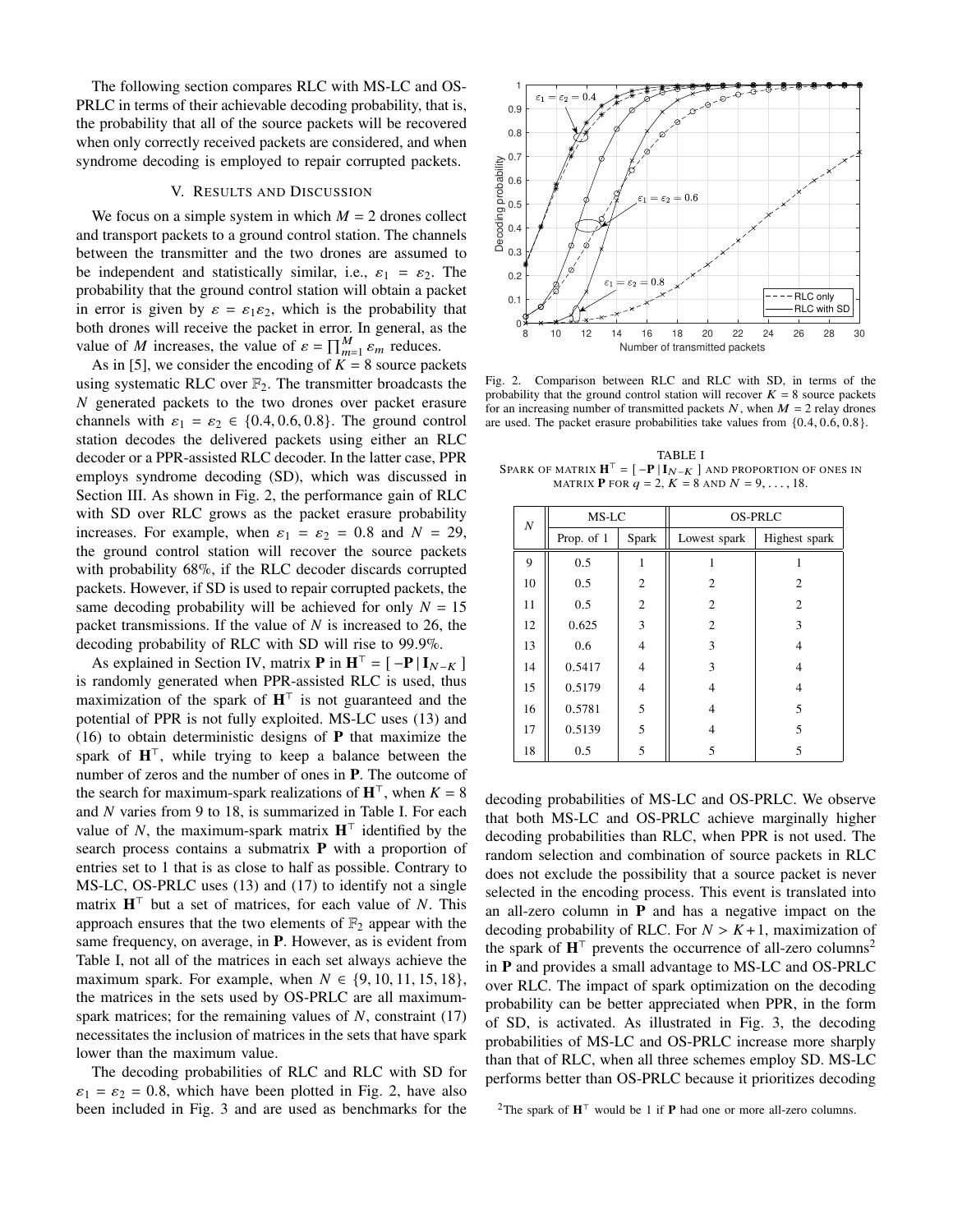The following section compares RLC with MS-LC and OS-PRLC in terms of their achievable decoding probability, that is, the probability that all of the source packets will be recovered when only correctly received packets are considered, and when syndrome decoding is employed to repair corrupted packets.

## V. RESULTS AND DISCUSSION

We focus on a simple system in which  $M = 2$  drones collect and transport packets to a ground control station. The channels between the transmitter and the two drones are assumed to be independent and statistically similar, i.e.,  $\varepsilon_1 = \varepsilon_2$ . The probability that the ground control station will obtain a packet in error is given by  $\varepsilon = \varepsilon_1 \varepsilon_2$ , which is the probability that both drones will receive the packet in error. In general, as the value of *M* increases, the value of  $\varepsilon = \prod_{m=1}^{M} \varepsilon_m$  reduces.

As in [5], we consider the encoding of  $K = 8$  source packets using systematic RLC over  $\mathbb{F}_2$ . The transmitter broadcasts the  $N$  generated packets to the two drones over packet erasure channels with  $\varepsilon_1 = \varepsilon_2 \in \{0.4, 0.6, 0.8\}$ . The ground control station decodes the delivered packets using either an RLC decoder or a PPR-assisted RLC decoder. In the latter case, PPR employs syndrome decoding (SD), which was discussed in Section III. As shown in Fig. 2, the performance gain of RLC with SD over RLC grows as the packet erasure probability increases. For example, when  $\varepsilon_1 = \varepsilon_2 = 0.8$  and  $N = 29$ , the ground control station will recover the source packets with probability 68%, if the RLC decoder discards corrupted packets. However, if SD is used to repair corrupted packets, the same decoding probability will be achieved for only  $N = 15$ packet transmissions. If the value of  $N$  is increased to 26, the decoding probability of RLC with SD will rise to 99.9%.

As explained in Section IV, matrix **P** in  $\mathbf{H}^{\top} = [-\mathbf{P} | \mathbf{I}_{N-K}]$ is randomly generated when PPR-assisted RLC is used, thus maximization of the spark of  $H^{\top}$  is not guaranteed and the potential of PPR is not fully exploited. MS-LC uses (13) and (16) to obtain deterministic designs of **P** that maximize the spark of  $H^{\top}$ , while trying to keep a balance between the number of zeros and the number of ones in **P**. The outcome of the search for maximum-spark realizations of  $\mathbf{H}^{\top}$ , when  $K = 8$ and  $N$  varies from 9 to 18, is summarized in Table I. For each value of N, the maximum-spark matrix  $\mathbf{H}^{\top}$  identified by the search process contains a submatrix **P** with a proportion of entries set to 1 that is as close to half as possible. Contrary to MS-LC, OS-PRLC uses (13) and (17) to identify not a single matrix  $H<sup>T</sup>$  but a set of matrices, for each value of N. This approach ensures that the two elements of  $\mathbb{F}_2$  appear with the same frequency, on average, in **P**. However, as is evident from Table I, not all of the matrices in each set always achieve the maximum spark. For example, when  $N \in \{9, 10, 11, 15, 18\}$ , the matrices in the sets used by OS-PRLC are all maximumspark matrices; for the remaining values of  $N$ , constraint (17) necessitates the inclusion of matrices in the sets that have spark lower than the maximum value.

The decoding probabilities of RLC and RLC with SD for  $\varepsilon_1 = \varepsilon_2 = 0.8$ , which have been plotted in Fig. 2, have also been included in Fig. 3 and are used as benchmarks for the



Fig. 2. Comparison between RLC and RLC with SD, in terms of the probability that the ground control station will recover  $K = 8$  source packets for an increasing number of transmitted packets  $N$ , when  $M = 2$  relay drones are used. The packet erasure probabilities take values from {0.4, 0.6, 0.8}.

TABLE I SPARK OF MATRIX  $\mathbf{H}^{\top} = [ -\mathbf{P} | I_{N-K} ]$  and proportion of ones in MATRIX **P** FOR  $q = 2$ ,  $K = 8$  AND  $N = 9, \ldots, 18$ .

| $\boldsymbol{N}$ | MS-LC      |                | <b>OS-PRLC</b> |               |
|------------------|------------|----------------|----------------|---------------|
|                  | Prop. of 1 | Spark          | Lowest spark   | Highest spark |
| 9                | 0.5        | 1              |                |               |
| 10               | 0.5        | $\overline{2}$ | 2              | 2             |
| 11               | 0.5        | $\overline{2}$ | $\overline{c}$ | 2             |
| 12               | 0.625      | 3              | $\overline{2}$ | 3             |
| 13               | 0.6        | 4              | 3              | 4             |
| 14               | 0.5417     | 4              | 3              | 4             |
| 15               | 0.5179     | 4              | 4              | 4             |
| 16               | 0.5781     | 5              | 4              | 5             |
| 17               | 0.5139     | 5              | 4              | 5             |
| 18               | 0.5        | 5              | 5              | 5             |

decoding probabilities of MS-LC and OS-PRLC. We observe that both MS-LC and OS-PRLC achieve marginally higher decoding probabilities than RLC, when PPR is not used. The random selection and combination of source packets in RLC does not exclude the possibility that a source packet is never selected in the encoding process. This event is translated into an all-zero column in **P** and has a negative impact on the decoding probability of RLC. For  $N > K+1$ , maximization of the spark of  $H<sup>T</sup>$  prevents the occurrence of all-zero columns<sup>2</sup> in **P** and provides a small advantage to MS-LC and OS-PRLC over RLC. The impact of spark optimization on the decoding probability can be better appreciated when PPR, in the form of SD, is activated. As illustrated in Fig. 3, the decoding probabilities of MS-LC and OS-PRLC increase more sharply than that of RLC, when all three schemes employ SD. MS-LC performs better than OS-PRLC because it prioritizes decoding

<sup>2</sup>The spark of  $\mathbf{H}^{\top}$  would be 1 if **P** had one or more all-zero columns.